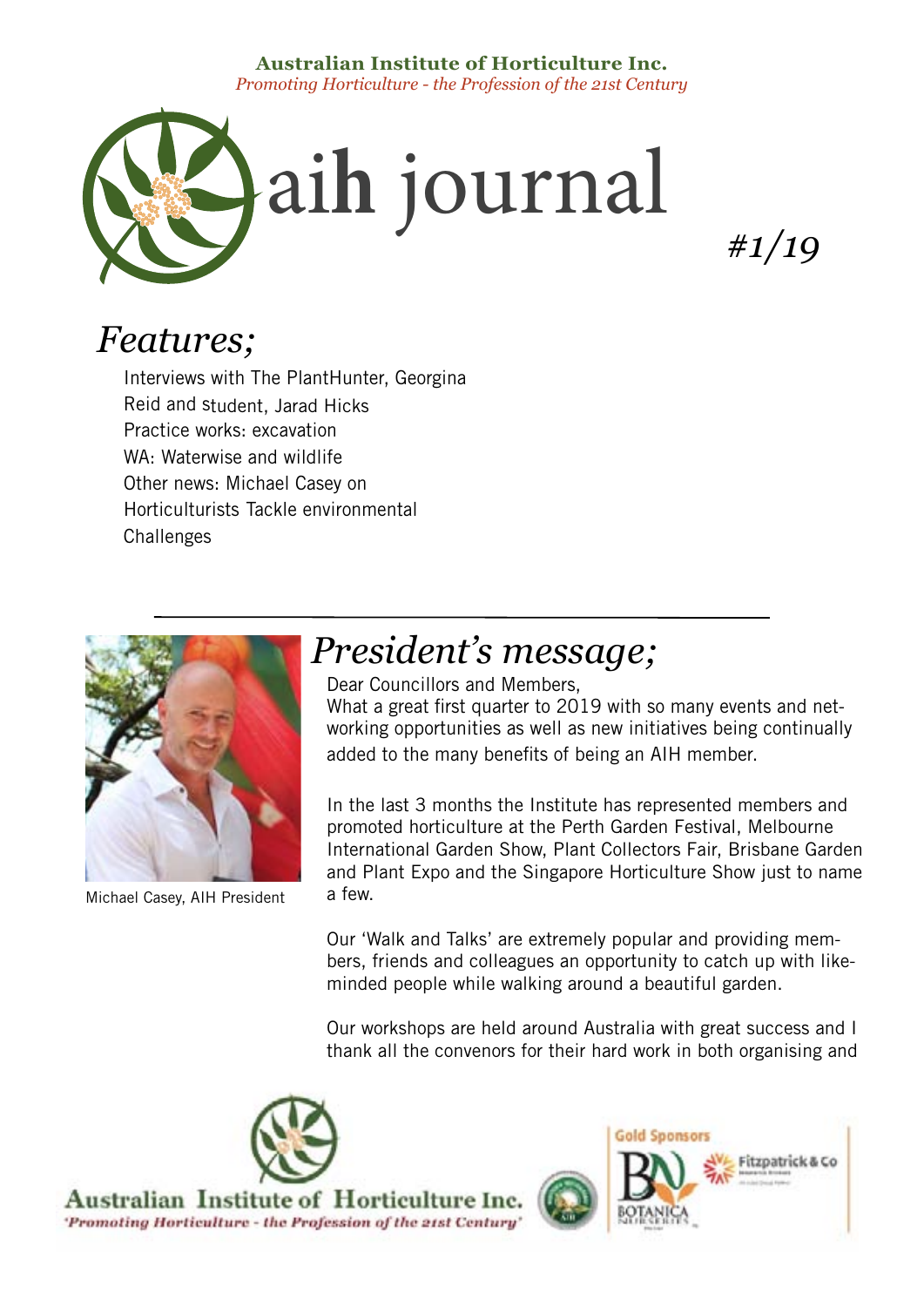## **Australian Institute of Horticulture Inc.** *Promoting Horticulture - the Profession of the 21st Century*



*#1/19*

# *Features;*

Interviews with The PlantHunter, Georgina Reid and student, Jarad Hicks Practice works: excavation WA: Waterwise and wildlife Other news: Michael Casey on Horticulturists Tackle environmental **Challenges** 



Michael Casey, AIH President

# *President's message;*

Dear Councillors and Members, What a great first quarter to 2019 with so many events and networking opportunities as well as new initiatives being continually added to the many benefits of being an AIH member.

In the last 3 months the Institute has represented members and promoted horticulture at the Perth Garden Festival, Melbourne International Garden Show, Plant Collectors Fair, Brisbane Garden and Plant Expo and the Singapore Horticulture Show just to name a few.

Our 'Walk and Talks' are extremely popular and providing members, friends and colleagues an opportunity to catch up with likeminded people while walking around a beautiful garden.

Our workshops are held around Australia with great success and I thank all the convenors for their hard work in both organising and

Australian Institute of Horticulture Inc. 'Promoting Horticulture - the Profession of the 21st Century'

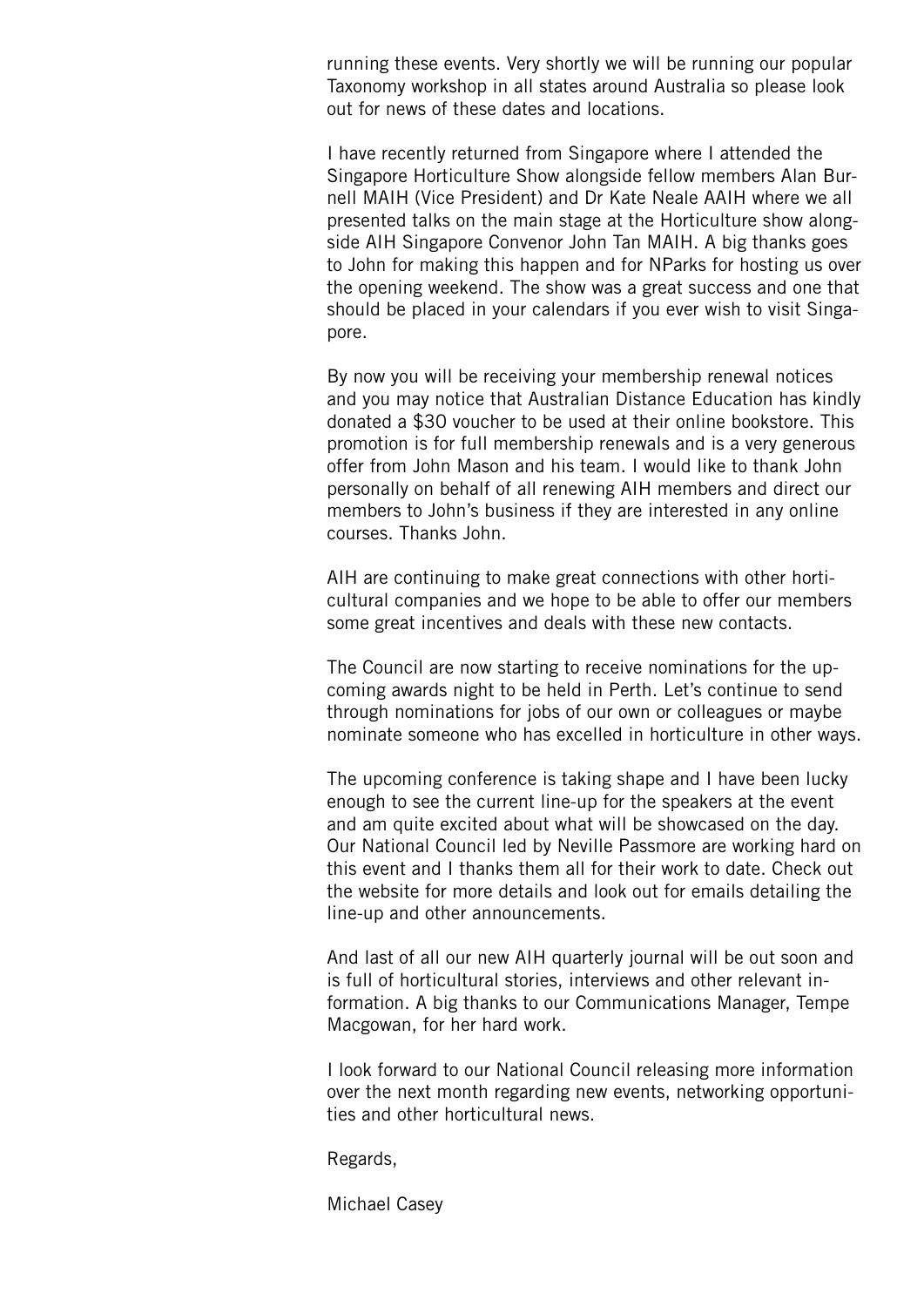running these events. Very shortly we will be running our popular Taxonomy workshop in all states around Australia so please look out for news of these dates and locations.

I have recently returned from Singapore where I attended the Singapore Horticulture Show alongside fellow members Alan Burnell MAIH (Vice President) and Dr Kate Neale AAIH where we all presented talks on the main stage at the Horticulture show alongside AIH Singapore Convenor John Tan MAIH. A big thanks goes to John for making this happen and for NParks for hosting us over the opening weekend. The show was a great success and one that should be placed in your calendars if you ever wish to visit Singapore.

By now you will be receiving your membership renewal notices and you may notice that Australian Distance Education has kindly donated a \$30 voucher to be used at their online bookstore. This promotion is for full membership renewals and is a very generous offer from John Mason and his team. I would like to thank John personally on behalf of all renewing AIH members and direct our members to John's business if they are interested in any online courses. Thanks John.

AIH are continuing to make great connections with other horticultural companies and we hope to be able to offer our members some great incentives and deals with these new contacts.

The Council are now starting to receive nominations for the upcoming awards night to be held in Perth. Let's continue to send through nominations for jobs of our own or colleagues or maybe nominate someone who has excelled in horticulture in other ways.

The upcoming conference is taking shape and I have been lucky enough to see the current line-up for the speakers at the event and am quite excited about what will be showcased on the day. Our National Council led by Neville Passmore are working hard on this event and I thanks them all for their work to date. Check out the website for more details and look out for emails detailing the line-up and other announcements.

And last of all our new AIH quarterly journal will be out soon and is full of horticultural stories, interviews and other relevant information. A big thanks to our Communications Manager, Tempe Macgowan, for her hard work.

I look forward to our National Council releasing more information over the next month regarding new events, networking opportunities and other horticultural news.

Regards,

Michael Casey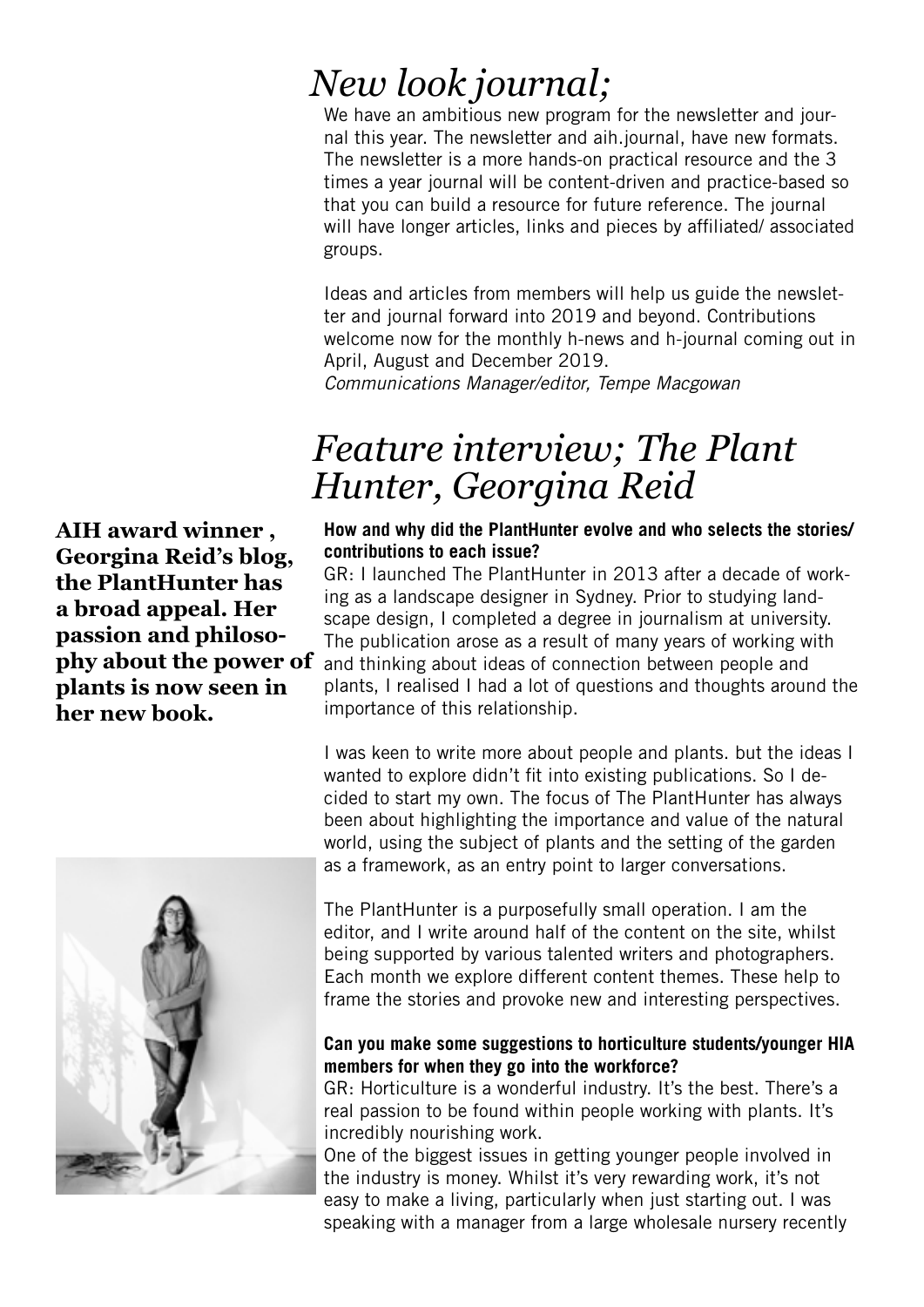# *New look journal;*

We have an ambitious new program for the newsletter and journal this year. The newsletter and aih.journal, have new formats. The newsletter is a more hands-on practical resource and the 3 times a year journal will be content-driven and practice-based so that you can build a resource for future reference. The journal will have longer articles, links and pieces by affiliated/ associated groups.

Ideas and articles from members will help us guide the newsletter and journal forward into 2019 and beyond. Contributions welcome now for the monthly h-news and h-journal coming out in April, August and December 2019.

*Communications Manager/editor, Tempe Macgowan*

# *Feature interview; The Plant Hunter, Georgina Reid*

## **How and why did the PlantHunter evolve and who selects the stories/ contributions to each issue?**

GR: I launched The PlantHunter in 2013 after a decade of working as a landscape designer in Sydney. Prior to studying landscape design, I completed a degree in journalism at university. The publication arose as a result of many years of working with and thinking about ideas of connection between people and plants, I realised I had a lot of questions and thoughts around the importance of this relationship.

I was keen to write more about people and plants. but the ideas I wanted to explore didn't fit into existing publications. So I decided to start my own. The focus of The PlantHunter has always been about highlighting the importance and value of the natural world, using the subject of plants and the setting of the garden as a framework, as an entry point to larger conversations.

The PlantHunter is a purposefully small operation. I am the editor, and I write around half of the content on the site, whilst being supported by various talented writers and photographers. Each month we explore different content themes. These help to frame the stories and provoke new and interesting perspectives.

## **Can you make some suggestions to horticulture students/younger HIA members for when they go into the workforce?**

GR: Horticulture is a wonderful industry. It's the best. There's a real passion to be found within people working with plants. It's incredibly nourishing work.

One of the biggest issues in getting younger people involved in the industry is money. Whilst it's very rewarding work, it's not easy to make a living, particularly when just starting out. I was speaking with a manager from a large wholesale nursery recently

**AIH award winner , Georgina Reid's blog, the PlantHunter has a broad appeal. Her passion and philosophy about the power of plants is now seen in her new book.**

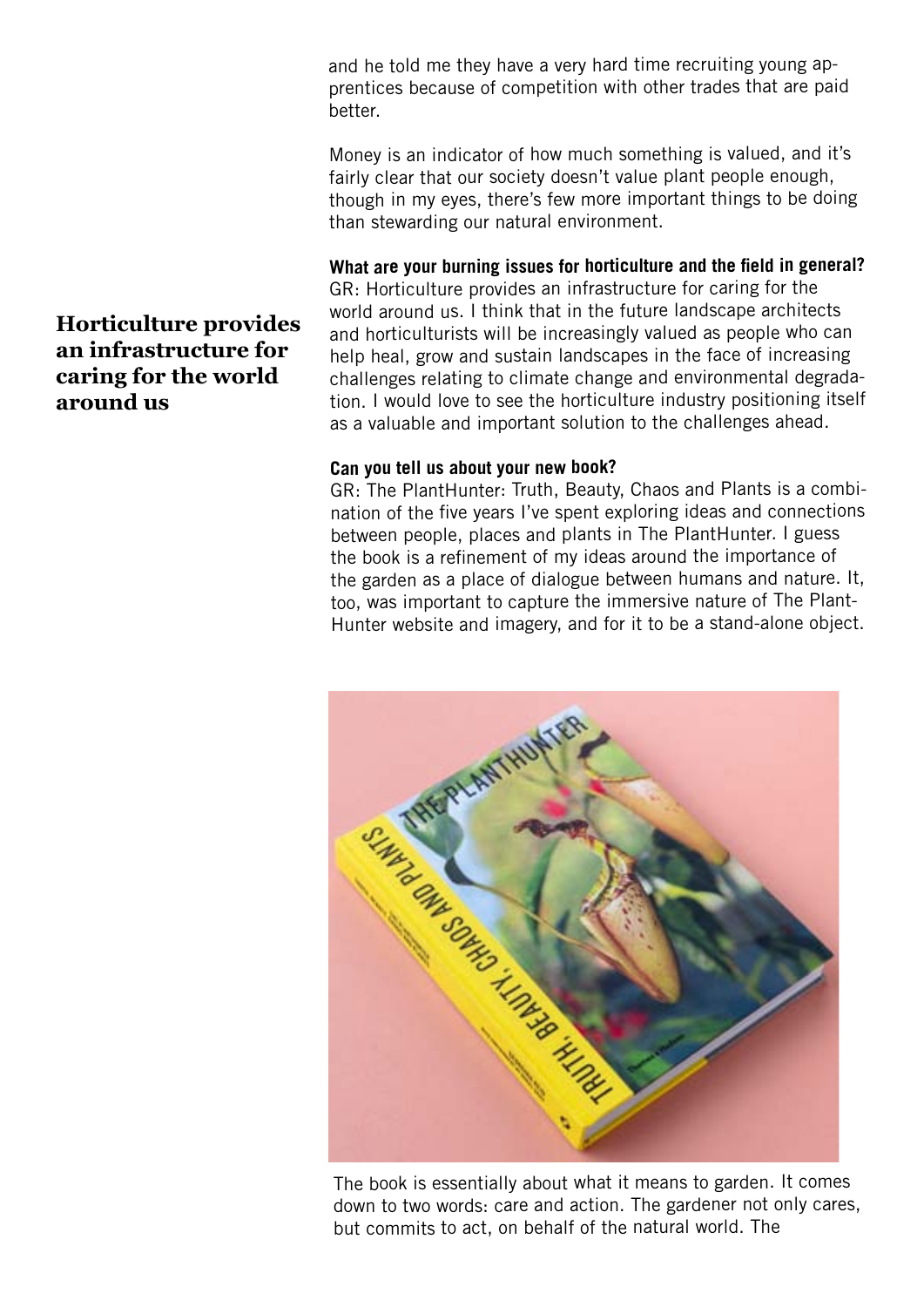and he told me they have a very hard time recruiting young apprentices because of competition with other trades that are paid better.

Money is an indicator of how much something is valued, and it's fairly clear that our society doesn't value plant people enough, though in my eyes, there's few more important things to be doing than stewarding our natural environment.

## **What are your burning issues for horticulture and the field in general?**

GR: Horticulture provides an infrastructure for caring for the world around us. I think that in the future landscape architects and horticulturists will be increasingly valued as people who can help heal, grow and sustain landscapes in the face of increasing challenges relating to climate change and environmental degradation. I would love to see the horticulture industry positioning itself as a valuable and important solution to the challenges ahead.

## **Can you tell us about your new book?**

GR: The PlantHunter: Truth, Beauty, Chaos and Plants is a combination of the five years I've spent exploring ideas and connections between people, places and plants in The PlantHunter. I guess the book is a refinement of my ideas around the importance of the garden as a place of dialogue between humans and nature. It, too, was important to capture the immersive nature of The Plant-Hunter website and imagery, and for it to be a stand-alone object.



The book is essentially about what it means to garden. It comes down to two words: care and action. The gardener not only cares, but commits to act, on behalf of the natural world. The

# **Horticulture provides an infrastructure for caring for the world around us**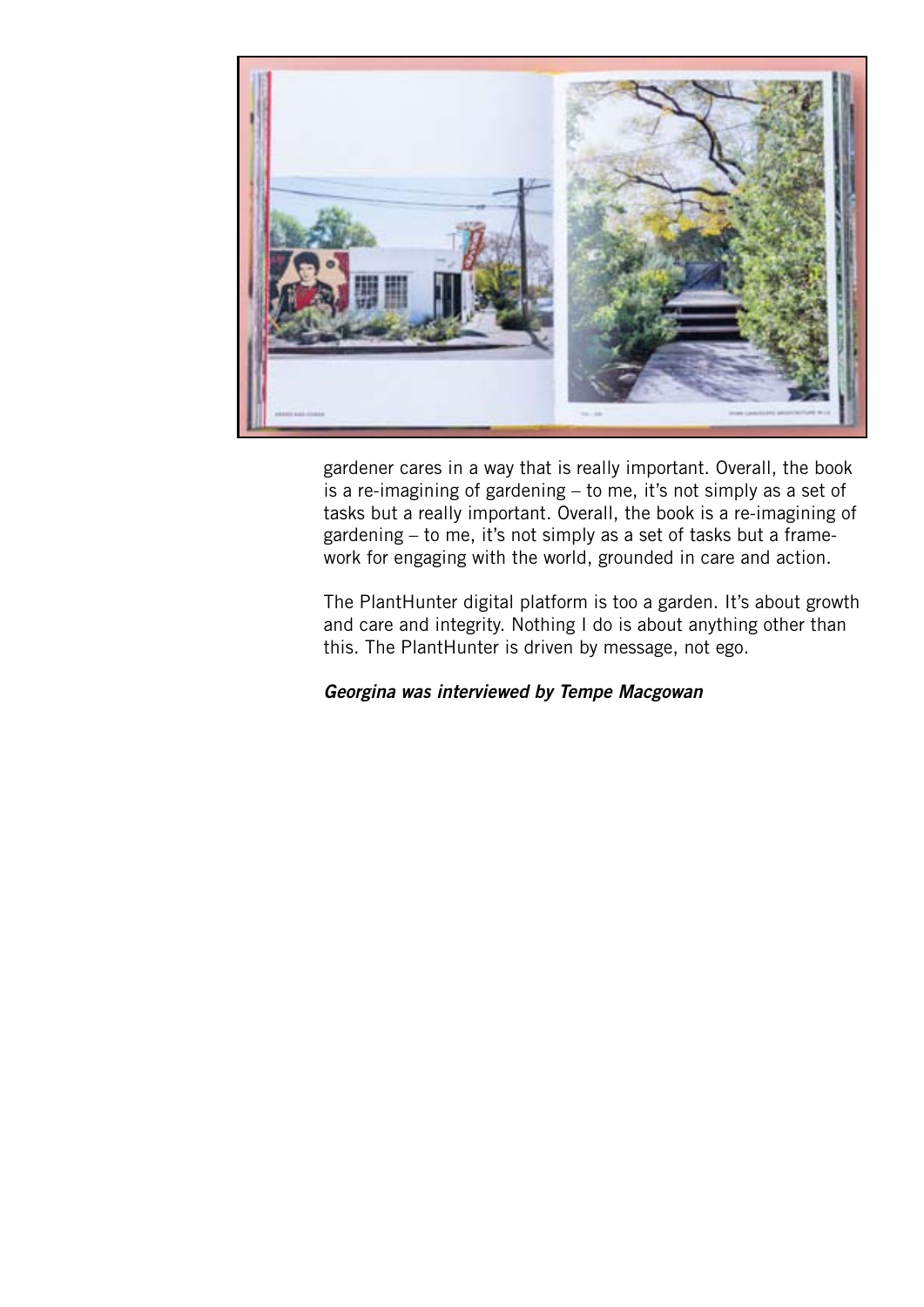

gardener cares in a way that is really important. Overall, the book is a re-imagining of gardening – to me, it's not simply as a set of tasks but a really important. Overall, the book is a re-imagining of gardening – to me, it's not simply as a set of tasks but a framework for engaging with the world, grounded in care and action.

The PlantHunter digital platform is too a garden. It's about growth and care and integrity. Nothing I do is about anything other than this. The PlantHunter is driven by message, not ego.

*Georgina was interviewed by Tempe Macgowan*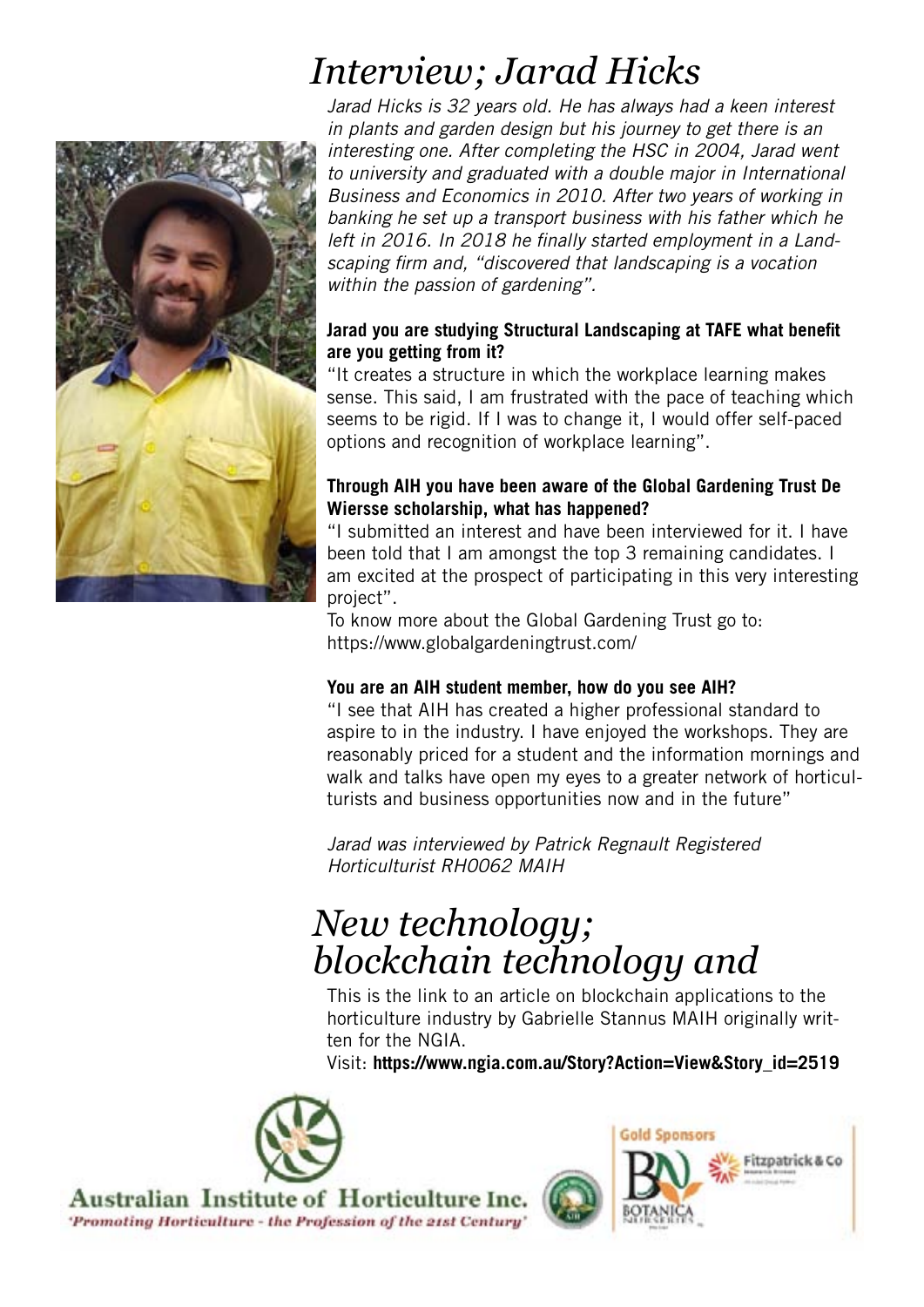

# *Interview; Jarad Hicks*

*Jarad Hicks is 32 years old. He has always had a keen interest in plants and garden design but his journey to get there is an interesting one. After completing the HSC in 2004, Jarad went to university and graduated with a double major in International Business and Economics in 2010. After two years of working in banking he set up a transport business with his father which he left in 2016. In 2018 he finally started employment in a Landscaping firm and, "discovered that landscaping is a vocation within the passion of gardening".*

# **Jarad you are studying Structural Landscaping at TAFE what benefit are you getting from it?**

"It creates a structure in which the workplace learning makes sense. This said, I am frustrated with the pace of teaching which seems to be rigid. If I was to change it, I would offer self-paced options and recognition of workplace learning".

# **Through AIH you have been aware of the Global Gardening Trust De Wiersse scholarship, what has happened?**

"I submitted an interest and have been interviewed for it. I have been told that I am amongst the top 3 remaining candidates. I am excited at the prospect of participating in this very interesting project".

To know more about the Global Gardening Trust go to: https://www.globalgardeningtrust.com/

# **You are an AIH student member, how do you see AIH?**

"I see that AIH has created a higher professional standard to aspire to in the industry. I have enjoyed the workshops. They are reasonably priced for a student and the information mornings and walk and talks have open my eyes to a greater network of horticulturists and business opportunities now and in the future"

*Jarad was interviewed by Patrick Regnault Registered Horticulturist RH0062 MAIH*

# *New technology; blockchain technology and*

This is the link to an article on blockchain applications to the horticulture industry by Gabrielle Stannus MAIH originally written for the NGIA.

Visit: **https://www.ngia.com.au/Story?Action=View&Story\_id=2519**



Australian Institute of Horticulture Inc. 'Promoting Horticulture - the Profession of the 21st Century

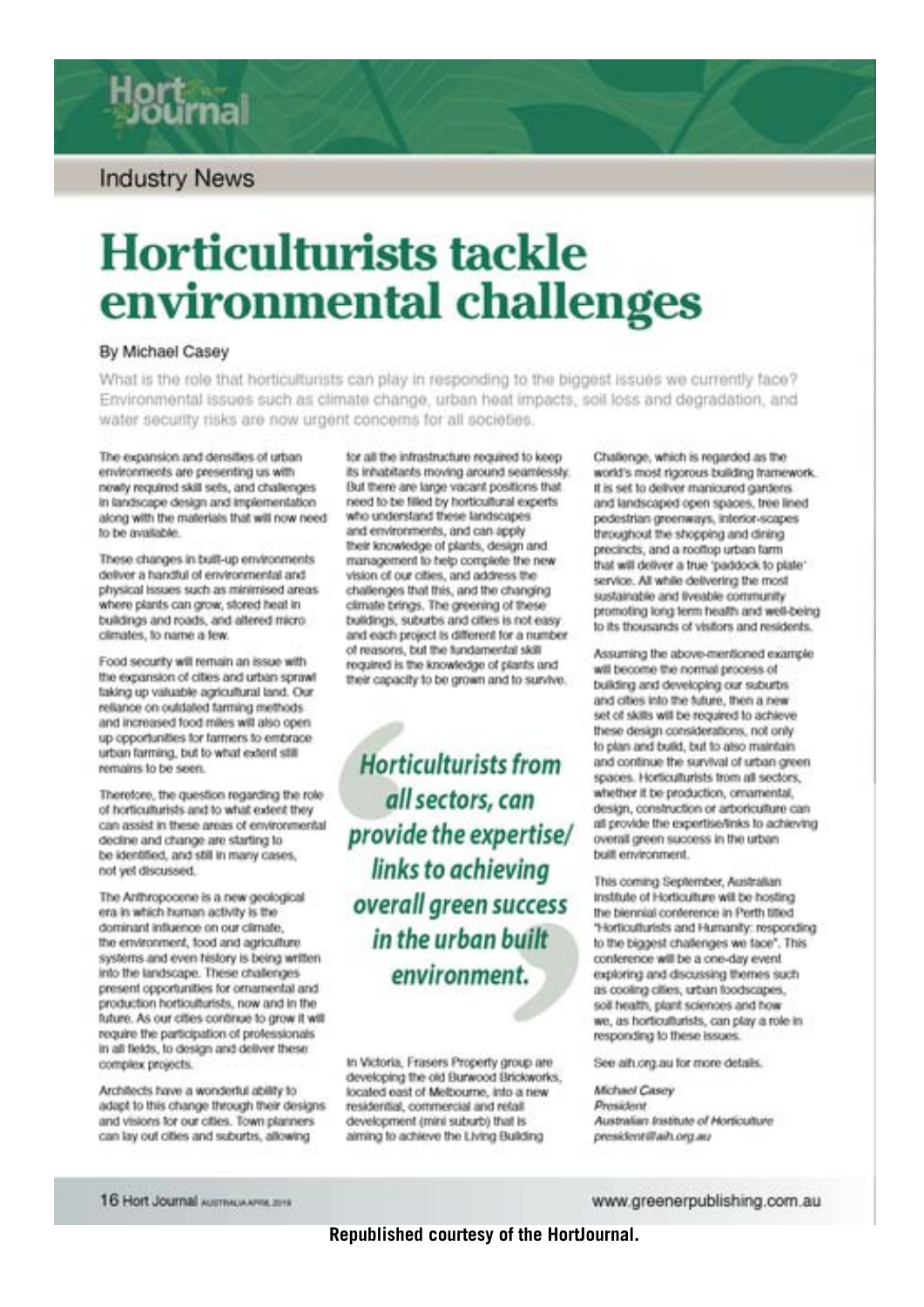# **Industry News**

# **Horticulturists tackle** environmental challenges

#### By Michael Casey

What is the role that horticulturists can play in responding to the biggest issues we currently face? Environmental issues such as climate change, urban heat impacts, soil loss and degradation, and water security risks are now urgent concerns for all societies.

The expansion and densities of urban environments are presenting us with newly required skill sets, and challenges in landscape design and implementation along with the materials that will now need to be available.

These changes in built-up environments deliver a handful of environmental and physical issues such as minimised areas. where plants can grow, stored heat in buildings and roads, and altered microclimates, to name a few.

Food security will remain an issue with the expansion of cities and urban sprawl taking up valuable agricultural land. Our reliance on outdated tarming methods. and increased food miles will also open up opportunities for farmers to embrace urban farming, but to what extent still remains to be seen.

Therefore, the question regarding the role. of horticulturists and to what extent they can assist in these areas of environmental decline and change are starting to be identified, and still in many cases, not yet discussed.

The Anthropocene is a new geological era in which human activity is the dominant influence on our climate. the environment, food and agriculture systems and even history is being written into the landscape. These challenges present opportunities for ornamental and production horticulturists, now and in the future. As our cities continue to grow it will require the participation of professionals in all fields, to design and deliver these complex projects.

Architects have a wonderful ability to adapt to this change through their designs and visions for our ottes. Town planners can lay out cities and suburbs, allowing

for all the infrastructure required to keep its inhabitants moving around seamlessly. But there are large vacant positions that need to be filled by horticultural experts. who understand these landscapes and environments, and can apply their knowledge of plants, design and management to help complete the new vision of our cities, and address the challenges that this, and the changing climate brings. The greening of these buildings, suburbs and cities is not easy and each project is different for a number of reasons, but the fundamental skill required is the knowledge of plants and their capacity to be grown and to survive.

Horticulturists from all sectors, can provide the expertise/ links to achieving overall green success in the urban built environment.

In Victoria, Frasers Property group are developing the old Burwood Brickworks, located east of Melbourne, into a new residential, commercial and retail development (mini suburb) that is aiming to achieve the Living Building

Challenge, which is regarded as the world's most rigorous building framework. If is set to deliver manicured carders. and landscaped open spaces, tree lined pedestrian greenways, interior-scapes throughout the shopping and dining precincts, and a rooftop urban farm that will deliver a true 'paddock to plate' service. All while delivering the most sustainable and liveable community promoting long term health and well-being to its thousands of visitors and residents.

Assuming the above-mentioned example will become the normal process of building and developing our suburbs and cities into the future, then a new set of skills will be required to achieve these design considerations, not only to plan and build, but to also maintain and continue the survival of urban green spaces. Horticulturists from all sectors, whether it be production, ornamental. design, construction or arboriculture can all provide the expertise/links to achieving overall green success in the urban built environment.

This coming September, Australian Institute of Horticulture will be hosting the blennial conference in Perth titled "Horticulturists and Humanity: responding to the biggest challenges we face". This conference will be a one-day event exploring and discussing themes such as cooling cities, urban foodscapes, soil health, plant sciences and how we, as horticulturists, can play a role in responding to these issues.

See alluorg au for more details.

**Michael Casey** President Australian Institute of Horticulture president@ailb.org.au

16 Hort Journal Australia Americans

#### www.greenerpublishing.com.au

**Republished courtesy of the HortJournal.**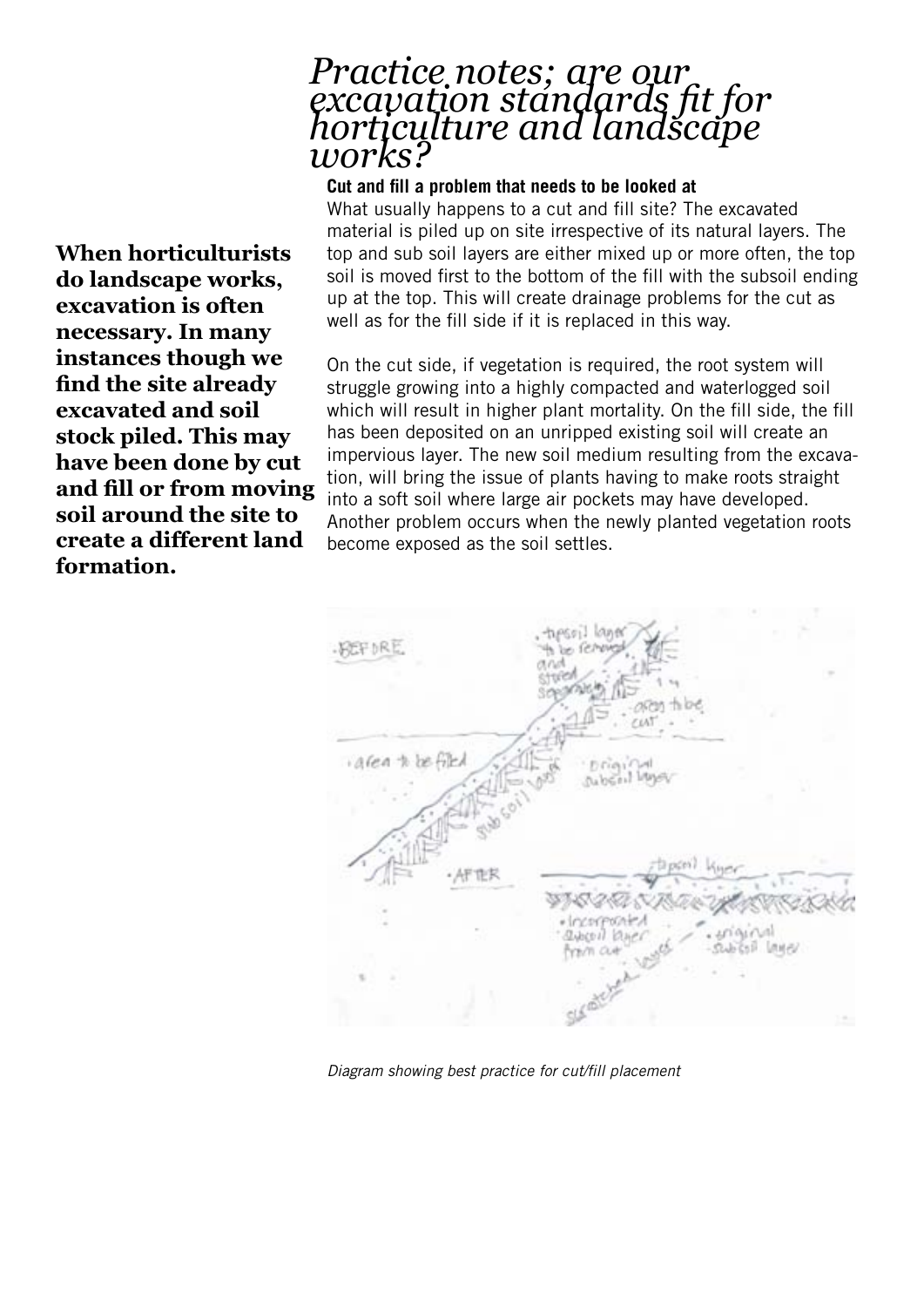# *Practice notes; are our excavation standards fit for horticulture and landscape works?*

## **Cut and fill a problem that needs to be looked at**

What usually happens to a cut and fill site? The excavated material is piled up on site irrespective of its natural layers. The top and sub soil layers are either mixed up or more often, the top soil is moved first to the bottom of the fill with the subsoil ending up at the top. This will create drainage problems for the cut as well as for the fill side if it is replaced in this way.

On the cut side, if vegetation is required, the root system will struggle growing into a highly compacted and waterlogged soil which will result in higher plant mortality. On the fill side, the fill has been deposited on an unripped existing soil will create an impervious layer. The new soil medium resulting from the excavation, will bring the issue of plants having to make roots straight into a soft soil where large air pockets may have developed. Another problem occurs when the newly planted vegetation roots become exposed as the soil settles.

| · BEFIRE         |              | typesi! layer<br>be fething<br>const |                            |                          |  |
|------------------|--------------|--------------------------------------|----------------------------|--------------------------|--|
|                  |              |                                      | area thee<br>$\epsilon$ ut |                          |  |
| area to be filed |              |                                      | Driginal                   |                          |  |
|                  | Sub Soil Law |                                      |                            |                          |  |
|                  | ·AFTER       | olincorpoated<br>avoidable           | taponi knor<br>かびのにさく      |                          |  |
|                  |              | from cut                             |                            | . uriginal<br>SWOGE LANE |  |
|                  |              | Self                                 |                            |                          |  |

*Diagram showing best practice for cut/fill placement*

**When horticulturists do landscape works, excavation is often necessary. In many instances though we find the site already excavated and soil stock piled. This may have been done by cut and fill or from moving soil around the site to create a different land formation.**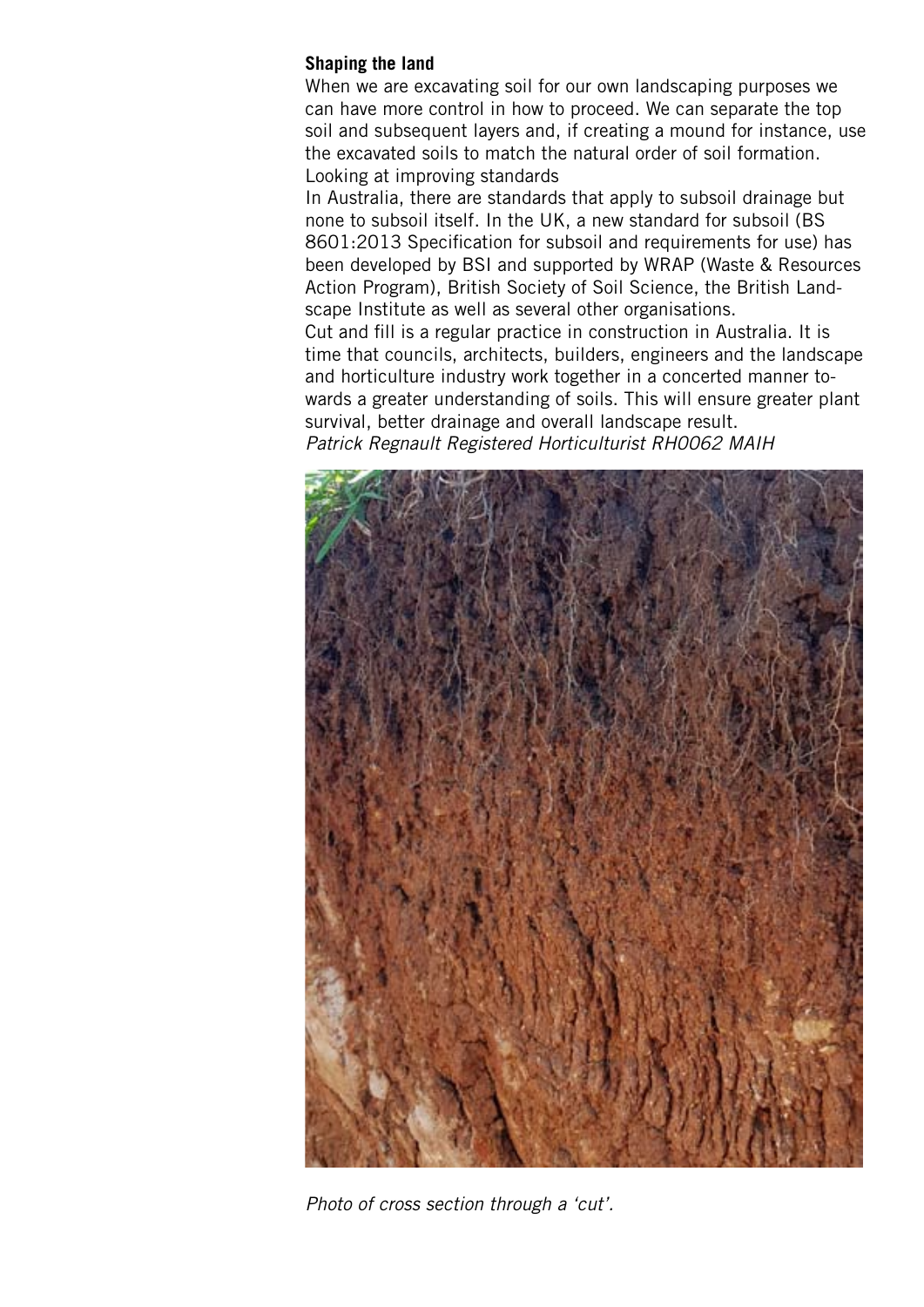## **Shaping the land**

When we are excavating soil for our own landscaping purposes we can have more control in how to proceed. We can separate the top soil and subsequent layers and, if creating a mound for instance, use the excavated soils to match the natural order of soil formation. Looking at improving standards

In Australia, there are standards that apply to subsoil drainage but none to subsoil itself. In the UK, a new standard for subsoil (BS 8601:2013 Specification for subsoil and requirements for use) has been developed by BSI and supported by WRAP (Waste & Resources Action Program), British Society of Soil Science, the British Landscape Institute as well as several other organisations. Cut and fill is a regular practice in construction in Australia. It is time that councils, architects, builders, engineers and the landscape and horticulture industry work together in a concerted manner towards a greater understanding of soils. This will ensure greater plant survival, better drainage and overall landscape result. *Patrick Regnault Registered Horticulturist RH0062 MAIH*



*Photo of cross section through a 'cut'.*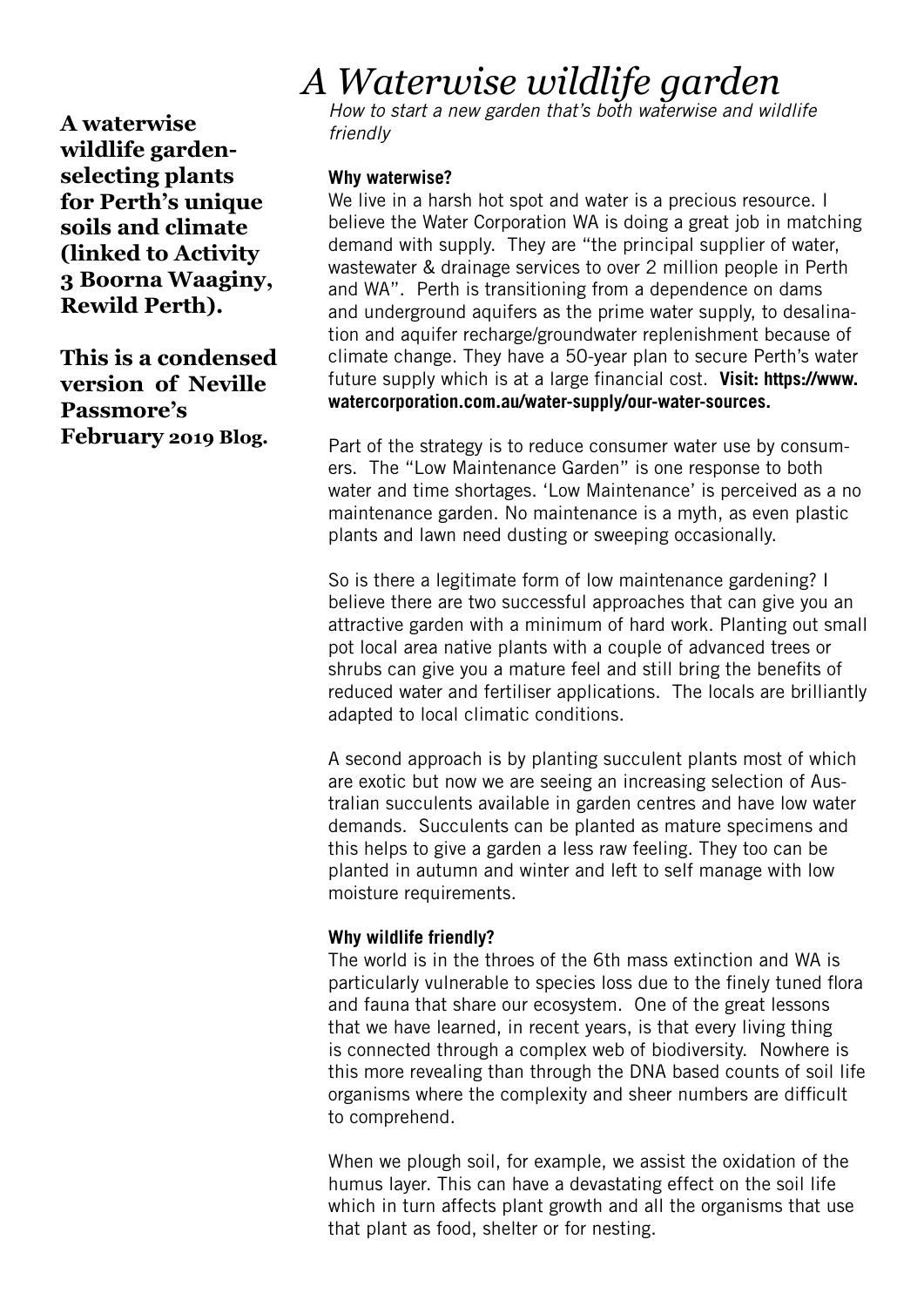**A waterwise wildlife gardenselecting plants for Perth's unique soils and climate (linked to Activity 3 Boorna Waaginy, Rewild Perth).** 

**This is a condensed version of Neville Passmore's February 2019 Blog.**

# *A Waterwise wildlife garden*

*How to start a new garden that's both waterwise and wildlife friendly*

## **Why waterwise?**

We live in a harsh hot spot and water is a precious resource. I believe the Water Corporation WA is doing a great job in matching demand with supply. They are "the principal supplier of water, wastewater & drainage services to over 2 million people in Perth and WA". Perth is transitioning from a dependence on dams and underground aquifers as the prime water supply, to desalination and aquifer recharge/groundwater replenishment because of climate change. They have a 50-year plan to secure Perth's water future supply which is at a large financial cost. **Visit: https://www. watercorporation.com.au/water-supply/our-water-sources.**

Part of the strategy is to reduce consumer water use by consumers. The "Low Maintenance Garden" is one response to both water and time shortages. 'Low Maintenance' is perceived as a no maintenance garden. No maintenance is a myth, as even plastic plants and lawn need dusting or sweeping occasionally.

So is there a legitimate form of low maintenance gardening? I believe there are two successful approaches that can give you an attractive garden with a minimum of hard work. Planting out small pot local area native plants with a couple of advanced trees or shrubs can give you a mature feel and still bring the benefits of reduced water and fertiliser applications. The locals are brilliantly adapted to local climatic conditions.

A second approach is by planting succulent plants most of which are exotic but now we are seeing an increasing selection of Australian succulents available in garden centres and have low water demands. Succulents can be planted as mature specimens and this helps to give a garden a less raw feeling. They too can be planted in autumn and winter and left to self manage with low moisture requirements.

# **Why wildlife friendly?**

The world is in the throes of the 6th mass extinction and WA is particularly vulnerable to species loss due to the finely tuned flora and fauna that share our ecosystem. One of the great lessons that we have learned, in recent years, is that every living thing is connected through a complex web of biodiversity. Nowhere is this more revealing than through the DNA based counts of soil life organisms where the complexity and sheer numbers are difficult to comprehend.

When we plough soil, for example, we assist the oxidation of the humus layer. This can have a devastating effect on the soil life which in turn affects plant growth and all the organisms that use that plant as food, shelter or for nesting.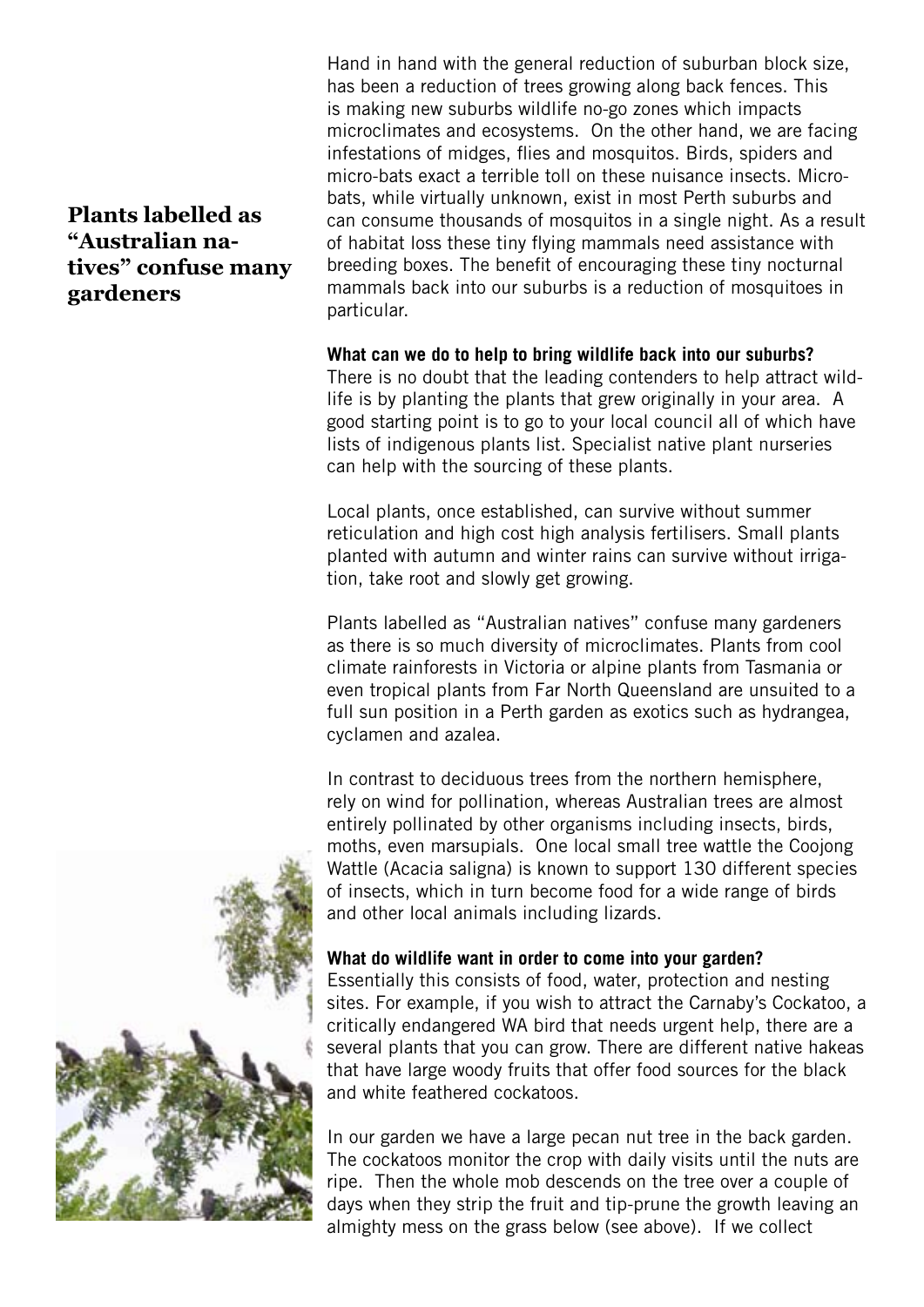**Plants labelled as "Australian natives" confuse many gardeners**

Hand in hand with the general reduction of suburban block size, has been a reduction of trees growing along back fences. This is making new suburbs wildlife no-go zones which impacts microclimates and ecosystems. On the other hand, we are facing infestations of midges, flies and mosquitos. Birds, spiders and micro-bats exact a terrible toll on these nuisance insects. Microbats, while virtually unknown, exist in most Perth suburbs and can consume thousands of mosquitos in a single night. As a result of habitat loss these tiny flying mammals need assistance with breeding boxes. The benefit of encouraging these tiny nocturnal mammals back into our suburbs is a reduction of mosquitoes in particular.

**What can we do to help to bring wildlife back into our suburbs?** There is no doubt that the leading contenders to help attract wildlife is by planting the plants that grew originally in your area. A good starting point is to go to your local council all of which have lists of indigenous plants list. Specialist native plant nurseries can help with the sourcing of these plants.

Local plants, once established, can survive without summer reticulation and high cost high analysis fertilisers. Small plants planted with autumn and winter rains can survive without irrigation, take root and slowly get growing.

Plants labelled as "Australian natives" confuse many gardeners as there is so much diversity of microclimates. Plants from cool climate rainforests in Victoria or alpine plants from Tasmania or even tropical plants from Far North Queensland are unsuited to a full sun position in a Perth garden as exotics such as hydrangea, cyclamen and azalea.

In contrast to deciduous trees from the northern hemisphere, rely on wind for pollination, whereas Australian trees are almost entirely pollinated by other organisms including insects, birds, moths, even marsupials. One local small tree wattle the Coojong Wattle (Acacia saligna) is known to support 130 different species of insects, which in turn become food for a wide range of birds and other local animals including lizards.

## **What do wildlife want in order to come into your garden?**

Essentially this consists of food, water, protection and nesting sites. For example, if you wish to attract the Carnaby's Cockatoo, a critically endangered WA bird that needs urgent help, there are a several plants that you can grow. There are different native hakeas that have large woody fruits that offer food sources for the black and white feathered cockatoos.

In our garden we have a large pecan nut tree in the back garden. The cockatoos monitor the crop with daily visits until the nuts are ripe. Then the whole mob descends on the tree over a couple of days when they strip the fruit and tip-prune the growth leaving an almighty mess on the grass below (see above). If we collect

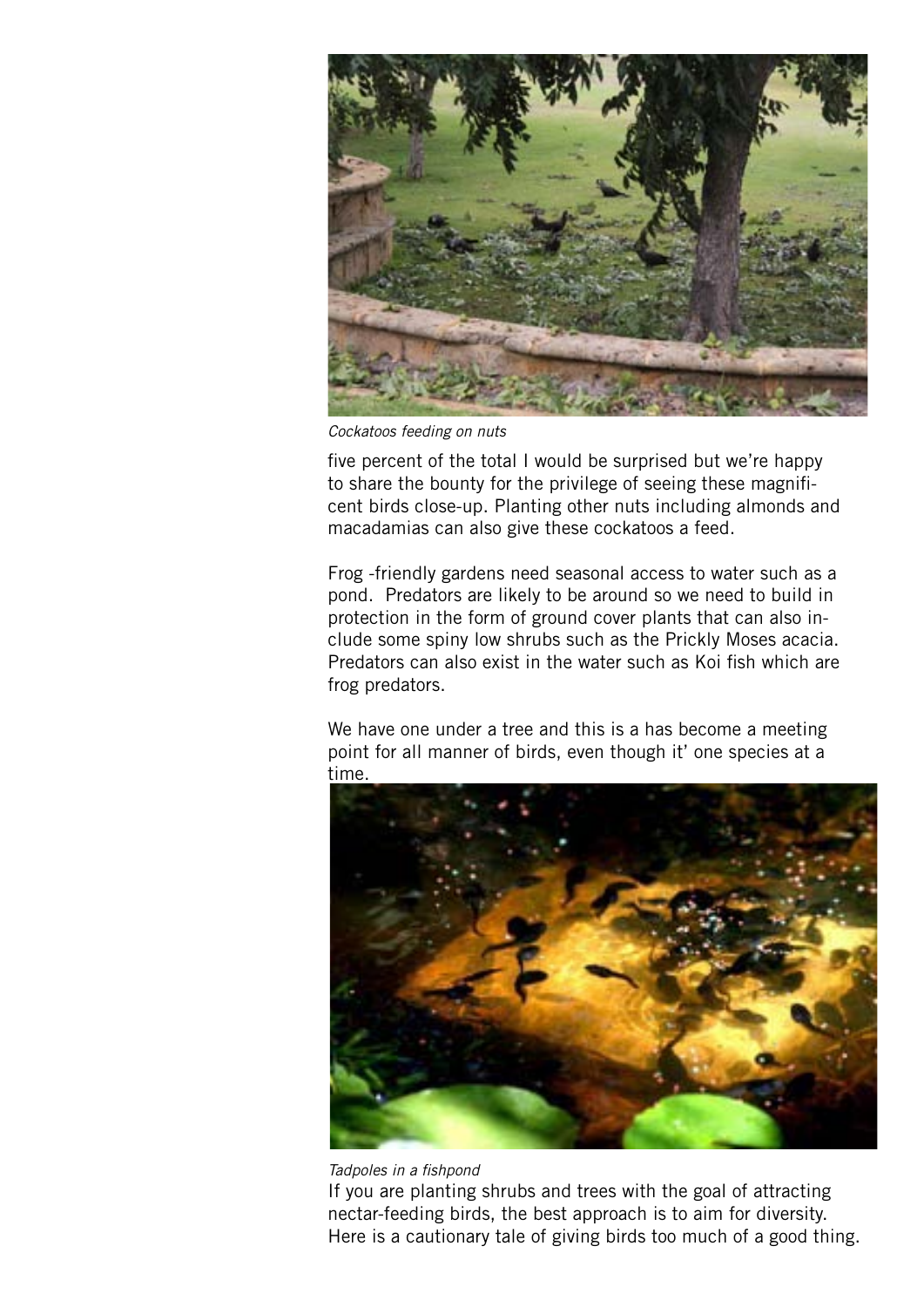

*Cockatoos feeding on nuts*

five percent of the total I would be surprised but we're happy to share the bounty for the privilege of seeing these magnificent birds close-up. Planting other nuts including almonds and macadamias can also give these cockatoos a feed.

Frog -friendly gardens need seasonal access to water such as a pond. Predators are likely to be around so we need to build in protection in the form of ground cover plants that can also include some spiny low shrubs such as the Prickly Moses acacia. Predators can also exist in the water such as Koi fish which are frog predators.

We have one under a tree and this is a has become a meeting point for all manner of birds, even though it' one species at a time.



#### *Tadpoles in a fishpond*

If you are planting shrubs and trees with the goal of attracting nectar-feeding birds, the best approach is to aim for diversity. Here is a cautionary tale of giving birds too much of a good thing.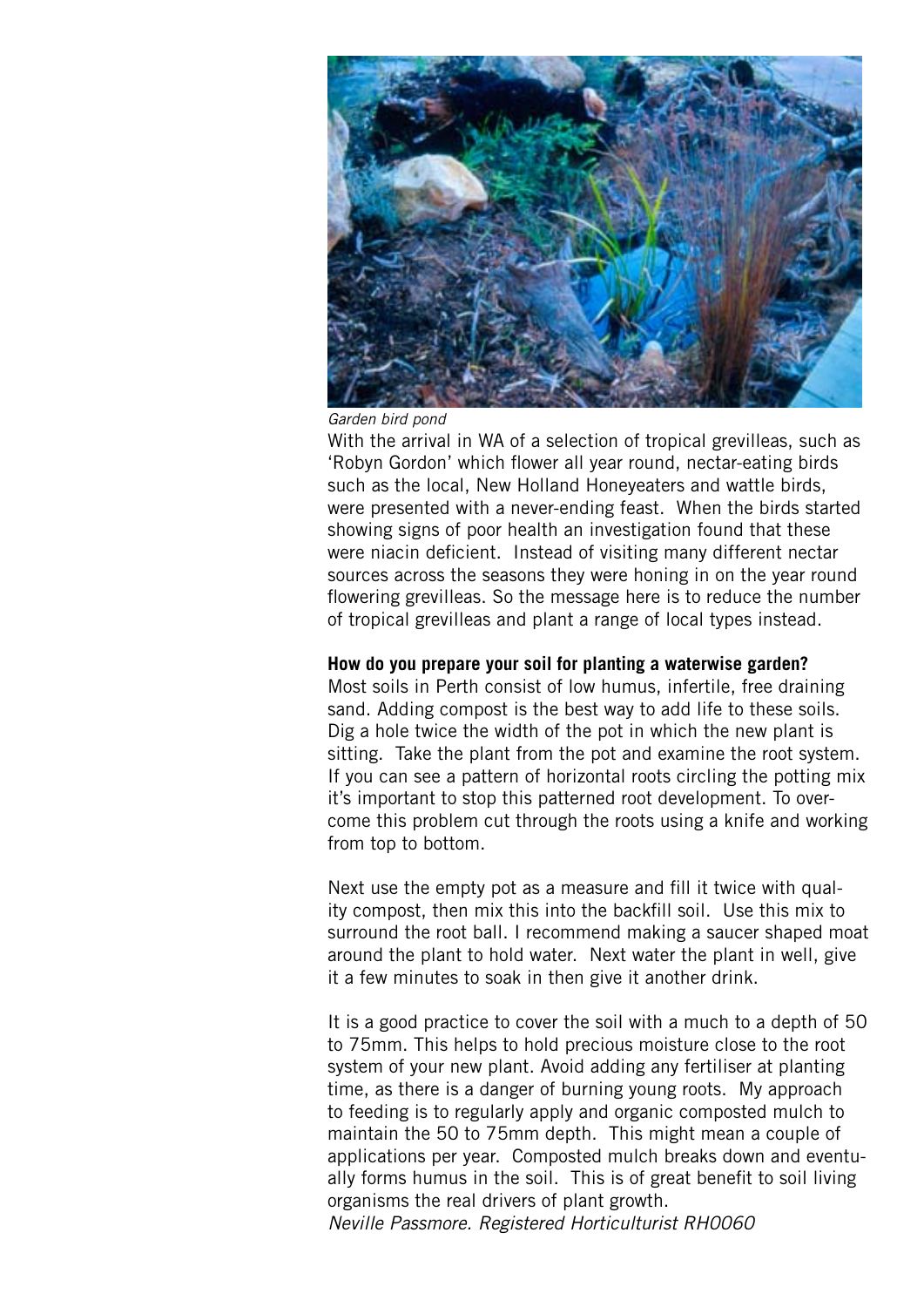



With the arrival in WA of a selection of tropical grevilleas, such as 'Robyn Gordon' which flower all year round, nectar-eating birds such as the local, New Holland Honeyeaters and wattle birds, were presented with a never-ending feast. When the birds started showing signs of poor health an investigation found that these were niacin deficient. Instead of visiting many different nectar sources across the seasons they were honing in on the year round flowering grevilleas. So the message here is to reduce the number of tropical grevilleas and plant a range of local types instead.

## **How do you prepare your soil for planting a waterwise garden?**

Most soils in Perth consist of low humus, infertile, free draining sand. Adding compost is the best way to add life to these soils. Dig a hole twice the width of the pot in which the new plant is sitting. Take the plant from the pot and examine the root system. If you can see a pattern of horizontal roots circling the potting mix it's important to stop this patterned root development. To overcome this problem cut through the roots using a knife and working from top to bottom.

Next use the empty pot as a measure and fill it twice with quality compost, then mix this into the backfill soil. Use this mix to surround the root ball. I recommend making a saucer shaped moat around the plant to hold water. Next water the plant in well, give it a few minutes to soak in then give it another drink.

It is a good practice to cover the soil with a much to a depth of 50 to 75mm. This helps to hold precious moisture close to the root system of your new plant. Avoid adding any fertiliser at planting time, as there is a danger of burning young roots. My approach to feeding is to regularly apply and organic composted mulch to maintain the 50 to 75mm depth. This might mean a couple of applications per year. Composted mulch breaks down and eventually forms humus in the soil. This is of great benefit to soil living organisms the real drivers of plant growth.

*Neville Passmore. Registered Horticulturist RH0060*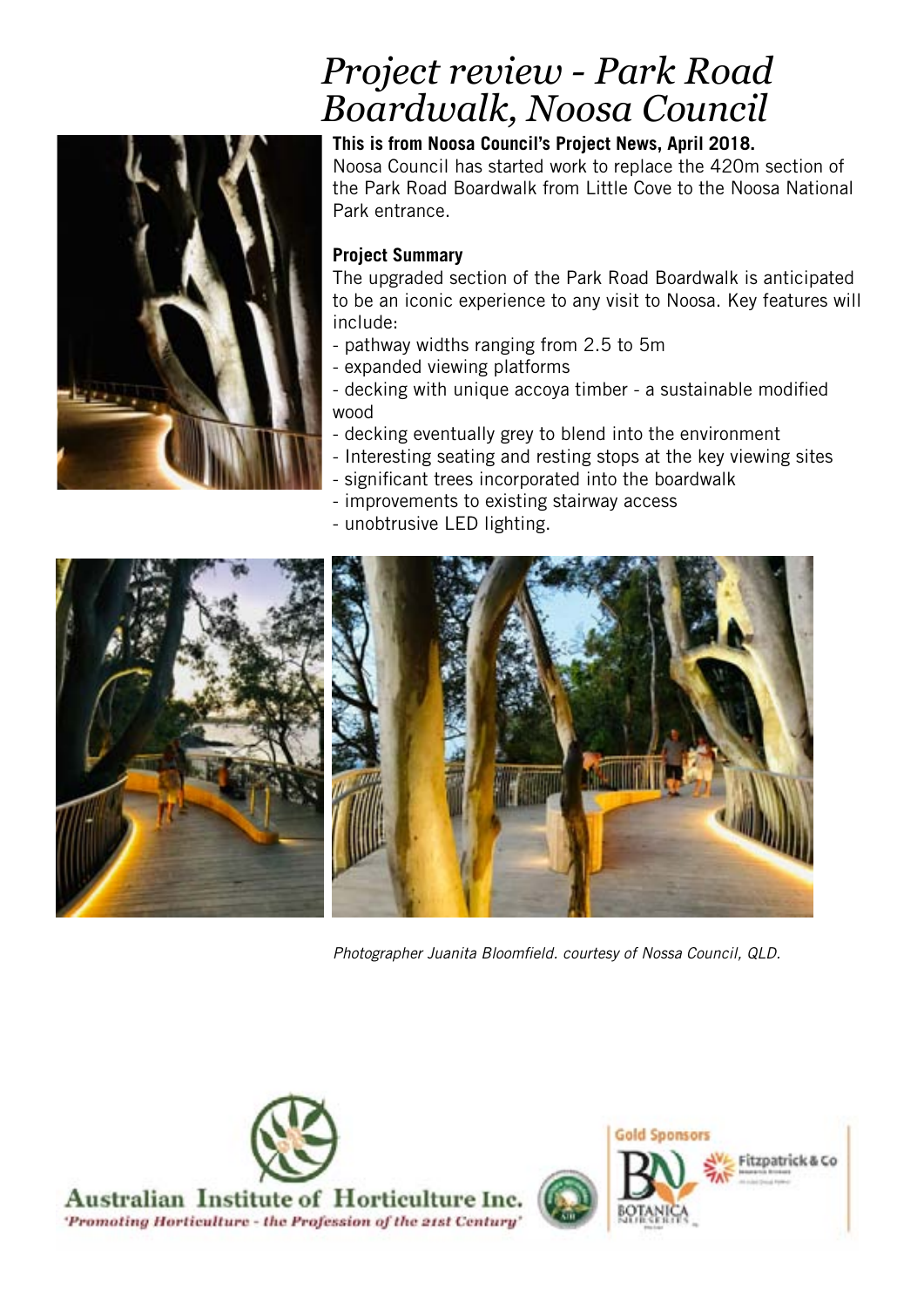# *Project review - Park Road Boardwalk, Noosa Council*



## **This is from Noosa Council's Project News, April 2018.** Noosa Council has started work to replace the 420m section of the Park Road Boardwalk from Little Cove to the Noosa National Park entrance.

## **Project Summary**

The upgraded section of the Park Road Boardwalk is anticipated to be an iconic experience to any visit to Noosa. Key features will include:

- pathway widths ranging from 2.5 to 5m
- expanded viewing platforms
- decking with unique accoya timber a sustainable modified wood
- decking eventually grey to blend into the environment
- Interesting seating and resting stops at the key viewing sites
- significant trees incorporated into the boardwalk
- improvements to existing stairway access
- unobtrusive LED lighting.



*Photographer Juanita Bloomfield. courtesy of Nossa Council, QLD.*